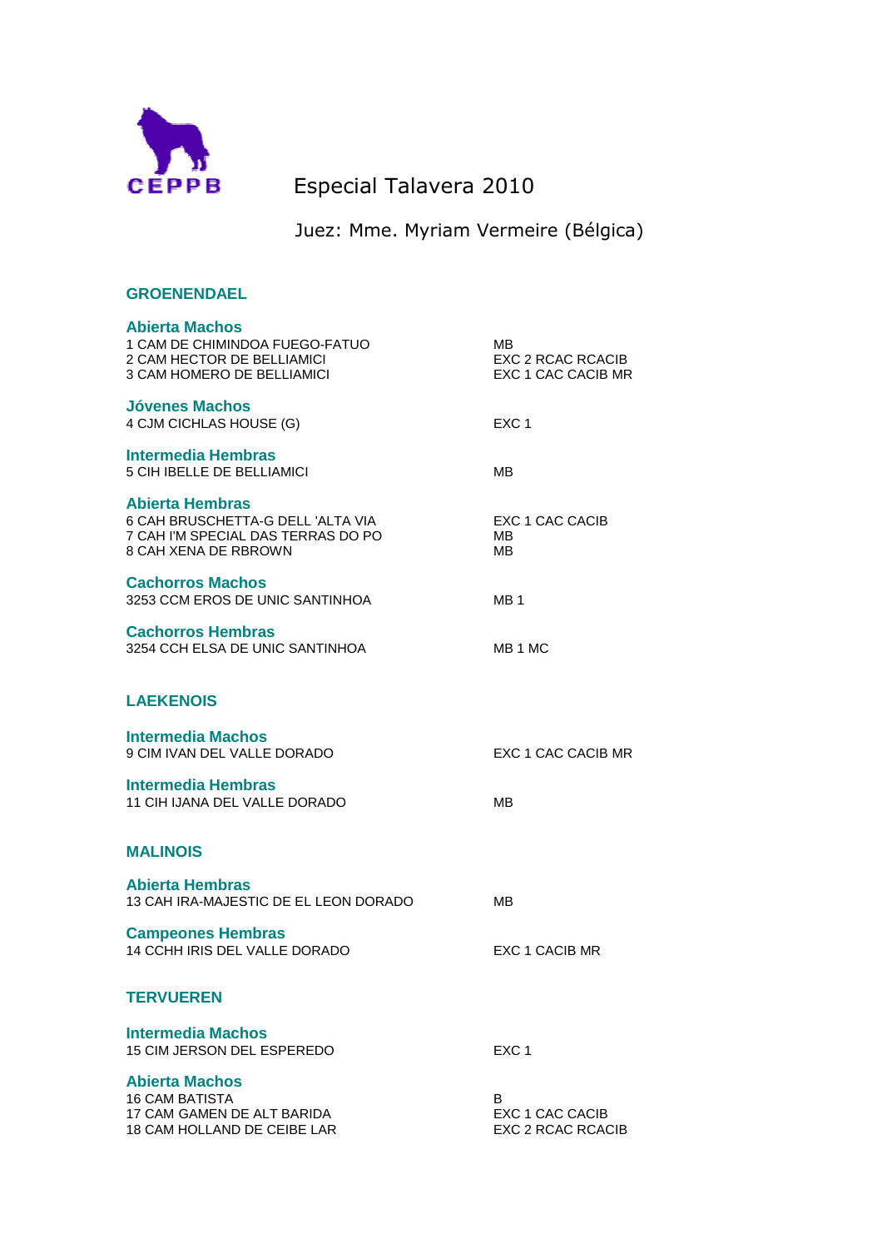

## CEPPB Especial Talavera 2010

Juez: Mme. Myriam Vermeire (Bélgica)

| <b>GROENENDAEL</b>                                                                                                        |                                               |
|---------------------------------------------------------------------------------------------------------------------------|-----------------------------------------------|
| <b>Abierta Machos</b><br>1 CAM DE CHIMINDOA FUEGO-FATUO<br>2 CAM HECTOR DE BELLIAMICI<br>3 CAM HOMERO DE BELLIAMICI       | MВ<br>EXC 2 RCAC RCACIB<br>EXC 1 CAC CACIB MR |
| <b>Jóvenes Machos</b><br>4 CJM CICHLAS HOUSE (G)                                                                          | EXC <sub>1</sub>                              |
| <b>Intermedia Hembras</b><br>5 CIH IBELLE DE BELLIAMICI                                                                   | MВ                                            |
| <b>Abierta Hembras</b><br>6 CAH BRUSCHETTA-G DELL 'ALTA VIA<br>7 CAH I'M SPECIAL DAS TERRAS DO PO<br>8 CAH XENA DE RBROWN | EXC 1 CAC CACIB<br>MВ<br>MВ                   |
| <b>Cachorros Machos</b><br>3253 CCM EROS DE UNIC SANTINHOA                                                                | MB 1                                          |
| <b>Cachorros Hembras</b><br>3254 CCH ELSA DE UNIC SANTINHOA                                                               | MB 1 MC                                       |
| <b>LAEKENOIS</b>                                                                                                          |                                               |
| <b>Intermedia Machos</b><br>9 CIM IVAN DEL VALLE DORADO                                                                   | EXC 1 CAC CACIB MR                            |
| <b>Intermedia Hembras</b><br>11 CIH IJANA DEL VALLE DORADO                                                                | MВ                                            |
| <b>MALINOIS</b>                                                                                                           |                                               |
| <b>Abierta Hembras</b><br>13 CAH IRA-MAJESTIC DE EL LEON DORADO                                                           | MВ                                            |
| <b>Campeones Hembras</b><br>14 CCHH IRIS DEL VALLE DORADO                                                                 | EXC 1 CACIB MR                                |
| <b>TERVUEREN</b>                                                                                                          |                                               |
| <b>Intermedia Machos</b><br>15 CIM JERSON DEL ESPEREDO                                                                    | EXC <sub>1</sub>                              |
| <b>Abierta Machos</b><br><b>16 CAM BATISTA</b><br>17 CAM GAMEN DE ALT BARIDA<br>18 CAM HOLLAND DE CEIBE LAR               | B<br>EXC 1 CAC CACIB<br>EXC 2 RCAC RCACIB     |